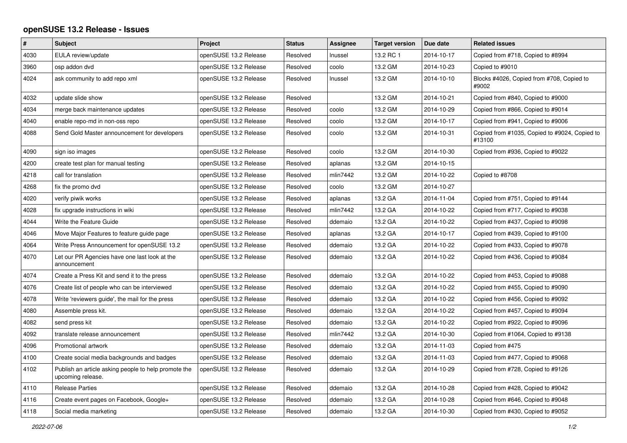## **openSUSE 13.2 Release - Issues**

| $\pmb{\#}$ | <b>Subject</b>                                                            | Project               | <b>Status</b> | Assignee | <b>Target version</b> | Due date   | <b>Related issues</b>                                   |
|------------|---------------------------------------------------------------------------|-----------------------|---------------|----------|-----------------------|------------|---------------------------------------------------------|
| 4030       | EULA review/update                                                        | openSUSE 13.2 Release | Resolved      | Inussel  | 13.2 RC 1             | 2014-10-17 | Copied from #718, Copied to #8994                       |
| 3960       | osp addon dvd                                                             | openSUSE 13.2 Release | Resolved      | coolo    | 13.2 GM               | 2014-10-23 | Copied to #9010                                         |
| 4024       | ask community to add repo xml                                             | openSUSE 13.2 Release | Resolved      | Inussel  | 13.2 GM               | 2014-10-10 | Blocks #4026, Copied from #708, Copied to<br>#9002      |
| 4032       | update slide show                                                         | openSUSE 13.2 Release | Resolved      |          | 13.2 GM               | 2014-10-21 | Copied from #840, Copied to #9000                       |
| 4034       | merge back maintenance updates                                            | openSUSE 13.2 Release | Resolved      | coolo    | 13.2 GM               | 2014-10-29 | Copied from #866, Copied to #9014                       |
| 4040       | enable repo-md in non-oss repo                                            | openSUSE 13.2 Release | Resolved      | coolo    | 13.2 GM               | 2014-10-17 | Copied from #941, Copied to #9006                       |
| 4088       | Send Gold Master announcement for developers                              | openSUSE 13.2 Release | Resolved      | coolo    | 13.2 GM               | 2014-10-31 | Copied from #1035, Copied to #9024, Copied to<br>#13100 |
| 4090       | sign iso images                                                           | openSUSE 13.2 Release | Resolved      | coolo    | 13.2 GM               | 2014-10-30 | Copied from #936, Copied to #9022                       |
| 4200       | create test plan for manual testing                                       | openSUSE 13.2 Release | Resolved      | aplanas  | 13.2 GM               | 2014-10-15 |                                                         |
| 4218       | call for translation                                                      | openSUSE 13.2 Release | Resolved      | mlin7442 | 13.2 GM               | 2014-10-22 | Copied to #8708                                         |
| 4268       | fix the promo dvd                                                         | openSUSE 13.2 Release | Resolved      | coolo    | 13.2 GM               | 2014-10-27 |                                                         |
| 4020       | verify piwik works                                                        | openSUSE 13.2 Release | Resolved      | aplanas  | 13.2 GA               | 2014-11-04 | Copied from #751, Copied to #9144                       |
| 4028       | fix upgrade instructions in wiki                                          | openSUSE 13.2 Release | Resolved      | mlin7442 | 13.2 GA               | 2014-10-22 | Copied from #717, Copied to #9038                       |
| 4044       | Write the Feature Guide                                                   | openSUSE 13.2 Release | Resolved      | ddemaio  | 13.2 GA               | 2014-10-22 | Copied from #437, Copied to #9098                       |
| 4046       | Move Major Features to feature guide page                                 | openSUSE 13.2 Release | Resolved      | aplanas  | 13.2 GA               | 2014-10-17 | Copied from #439, Copied to #9100                       |
| 4064       | Write Press Announcement for openSUSE 13.2                                | openSUSE 13.2 Release | Resolved      | ddemaio  | 13.2 GA               | 2014-10-22 | Copied from #433, Copied to #9078                       |
| 4070       | Let our PR Agencies have one last look at the<br>announcement             | openSUSE 13.2 Release | Resolved      | ddemaio  | 13.2 GA               | 2014-10-22 | Copied from #436, Copied to #9084                       |
| 4074       | Create a Press Kit and send it to the press                               | openSUSE 13.2 Release | Resolved      | ddemaio  | 13.2 GA               | 2014-10-22 | Copied from #453, Copied to #9088                       |
| 4076       | Create list of people who can be interviewed                              | openSUSE 13.2 Release | Resolved      | ddemaio  | 13.2 GA               | 2014-10-22 | Copied from #455, Copied to #9090                       |
| 4078       | Write 'reviewers guide', the mail for the press                           | openSUSE 13.2 Release | Resolved      | ddemaio  | 13.2 GA               | 2014-10-22 | Copied from #456, Copied to #9092                       |
| 4080       | Assemble press kit.                                                       | openSUSE 13.2 Release | Resolved      | ddemaio  | 13.2 GA               | 2014-10-22 | Copied from #457, Copied to #9094                       |
| 4082       | send press kit                                                            | openSUSE 13.2 Release | Resolved      | ddemaio  | 13.2 GA               | 2014-10-22 | Copied from #922, Copied to #9096                       |
| 4092       | translate release announcement                                            | openSUSE 13.2 Release | Resolved      | mlin7442 | 13.2 GA               | 2014-10-30 | Copied from #1064, Copied to #9138                      |
| 4096       | Promotional artwork                                                       | openSUSE 13.2 Release | Resolved      | ddemaio  | 13.2 GA               | 2014-11-03 | Copied from #475                                        |
| 4100       | Create social media backgrounds and badges                                | openSUSE 13.2 Release | Resolved      | ddemaio  | 13.2 GA               | 2014-11-03 | Copied from #477, Copied to #9068                       |
| 4102       | Publish an article asking people to help promote the<br>upcoming release. | openSUSE 13.2 Release | Resolved      | ddemaio  | 13.2 GA               | 2014-10-29 | Copied from #728, Copied to #9126                       |
| 4110       | <b>Release Parties</b>                                                    | openSUSE 13.2 Release | Resolved      | ddemaio  | 13.2 GA               | 2014-10-28 | Copied from #428, Copied to #9042                       |
| 4116       | Create event pages on Facebook, Google+                                   | openSUSE 13.2 Release | Resolved      | ddemaio  | 13.2 GA               | 2014-10-28 | Copied from #646, Copied to #9048                       |
| 4118       | Social media marketing                                                    | openSUSE 13.2 Release | Resolved      | ddemaio  | 13.2 GA               | 2014-10-30 | Copied from #430, Copied to #9052                       |